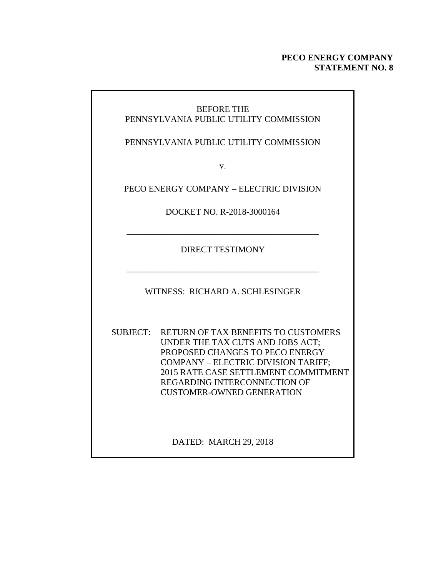#### **PECO ENERGY COMPANY STATEMENT NO. 8**

#### BEFORE THE PENNSYLVANIA PUBLIC UTILITY COMMISSION

PENNSYLVANIA PUBLIC UTILITY COMMISSION

v.

PECO ENERGY COMPANY – ELECTRIC DIVISION

DOCKET NO. R-2018-3000164

\_\_\_\_\_\_\_\_\_\_\_\_\_\_\_\_\_\_\_\_\_\_\_\_\_\_\_\_\_\_\_\_\_\_\_\_\_\_\_\_\_\_\_\_

DIRECT TESTIMONY

WITNESS: RICHARD A. SCHLESINGER

\_\_\_\_\_\_\_\_\_\_\_\_\_\_\_\_\_\_\_\_\_\_\_\_\_\_\_\_\_\_\_\_\_\_\_\_\_\_\_\_\_\_\_\_

SUBJECT: RETURN OF TAX BENEFITS TO CUSTOMERS UNDER THE TAX CUTS AND JOBS ACT; PROPOSED CHANGES TO PECO ENERGY COMPANY – ELECTRIC DIVISION TARIFF; 2015 RATE CASE SETTLEMENT COMMITMENT REGARDING INTERCONNECTION OF CUSTOMER-OWNED GENERATION

DATED: MARCH 29, 2018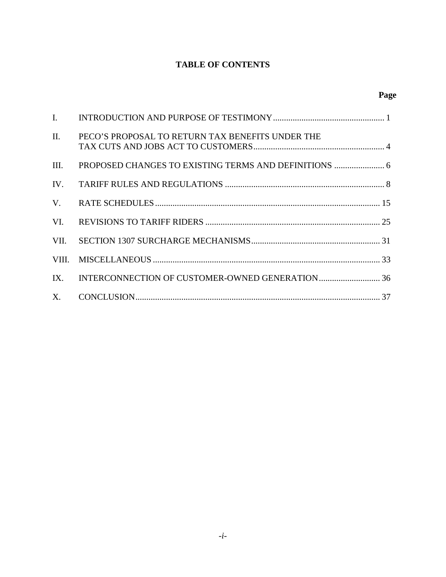### **TABLE OF CONTENTS**

| $\mathbf{I}$ . |                                                  |
|----------------|--------------------------------------------------|
| $\Pi$ .        | PECO'S PROPOSAL TO RETURN TAX BENEFITS UNDER THE |
| III.           |                                                  |
| IV.            |                                                  |
| V.             |                                                  |
| VI.            |                                                  |
| VII.           |                                                  |
| VIII.          |                                                  |
|                |                                                  |
| X.             |                                                  |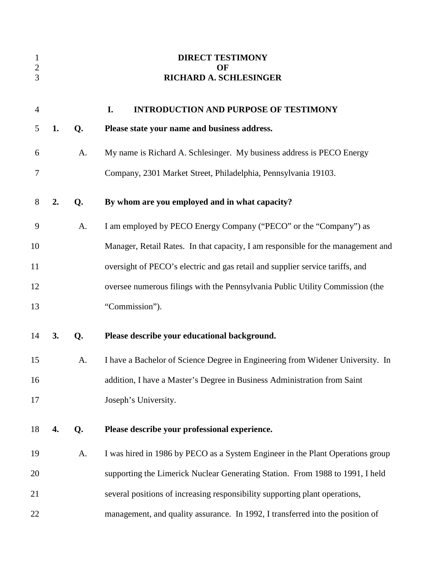| $\mathbf{1}$<br>$\overline{c}$<br>3 |    |    | <b>DIRECT TESTIMONY</b><br>OF<br><b>RICHARD A. SCHLESINGER</b>                   |
|-------------------------------------|----|----|----------------------------------------------------------------------------------|
| $\overline{4}$                      |    |    | I.<br><b>INTRODUCTION AND PURPOSE OF TESTIMONY</b>                               |
| 5                                   | 1. | Q. | Please state your name and business address.                                     |
| 6                                   |    | A. | My name is Richard A. Schlesinger. My business address is PECO Energy            |
| 7                                   |    |    | Company, 2301 Market Street, Philadelphia, Pennsylvania 19103.                   |
| 8                                   | 2. | Q. | By whom are you employed and in what capacity?                                   |
| 9                                   |    | A. | I am employed by PECO Energy Company ("PECO" or the "Company") as                |
| 10                                  |    |    | Manager, Retail Rates. In that capacity, I am responsible for the management and |
| 11                                  |    |    | oversight of PECO's electric and gas retail and supplier service tariffs, and    |
| 12                                  |    |    | oversee numerous filings with the Pennsylvania Public Utility Commission (the    |
| 13                                  |    |    | "Commission").                                                                   |
| 14                                  | 3. | Q. | Please describe your educational background.                                     |
| 15                                  |    | A. | I have a Bachelor of Science Degree in Engineering from Widener University. In   |
| 16                                  |    |    | addition, I have a Master's Degree in Business Administration from Saint         |
| 17                                  |    |    | Joseph's University.                                                             |
| 18                                  | 4. | Q. | Please describe your professional experience.                                    |
| 19                                  |    | A. | I was hired in 1986 by PECO as a System Engineer in the Plant Operations group   |
| 20                                  |    |    | supporting the Limerick Nuclear Generating Station. From 1988 to 1991, I held    |
| 21                                  |    |    | several positions of increasing responsibility supporting plant operations,      |
| 22                                  |    |    | management, and quality assurance. In 1992, I transferred into the position of   |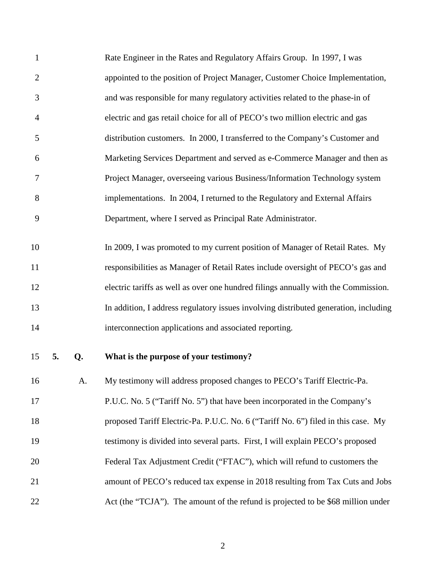| $\mathbf{1}$   |    |    | Rate Engineer in the Rates and Regulatory Affairs Group. In 1997, I was              |
|----------------|----|----|--------------------------------------------------------------------------------------|
| $\overline{2}$ |    |    | appointed to the position of Project Manager, Customer Choice Implementation,        |
| 3              |    |    | and was responsible for many regulatory activities related to the phase-in of        |
| $\overline{4}$ |    |    | electric and gas retail choice for all of PECO's two million electric and gas        |
| 5              |    |    | distribution customers. In 2000, I transferred to the Company's Customer and         |
| 6              |    |    | Marketing Services Department and served as e-Commerce Manager and then as           |
| 7              |    |    | Project Manager, overseeing various Business/Information Technology system           |
| 8              |    |    | implementations. In 2004, I returned to the Regulatory and External Affairs          |
| 9              |    |    | Department, where I served as Principal Rate Administrator.                          |
|                |    |    |                                                                                      |
| 10             |    |    | In 2009, I was promoted to my current position of Manager of Retail Rates. My        |
| 11             |    |    | responsibilities as Manager of Retail Rates include oversight of PECO's gas and      |
| 12             |    |    | electric tariffs as well as over one hundred filings annually with the Commission.   |
| 13             |    |    | In addition, I address regulatory issues involving distributed generation, including |
| 14             |    |    | interconnection applications and associated reporting.                               |
| 15             | 5. | Q. | What is the purpose of your testimony?                                               |
| 16             |    | A. | My testimony will address proposed changes to PECO's Tariff Electric-Pa.             |
| 17             |    |    | P.U.C. No. 5 ("Tariff No. 5") that have been incorporated in the Company's           |
| 18             |    |    | proposed Tariff Electric-Pa. P.U.C. No. 6 ("Tariff No. 6") filed in this case. My    |
| 19             |    |    | testimony is divided into several parts. First, I will explain PECO's proposed       |
| 20             |    |    | Federal Tax Adjustment Credit ("FTAC"), which will refund to customers the           |
| 21             |    |    | amount of PECO's reduced tax expense in 2018 resulting from Tax Cuts and Jobs        |
| 22             |    |    | Act (the "TCJA"). The amount of the refund is projected to be \$68 million under     |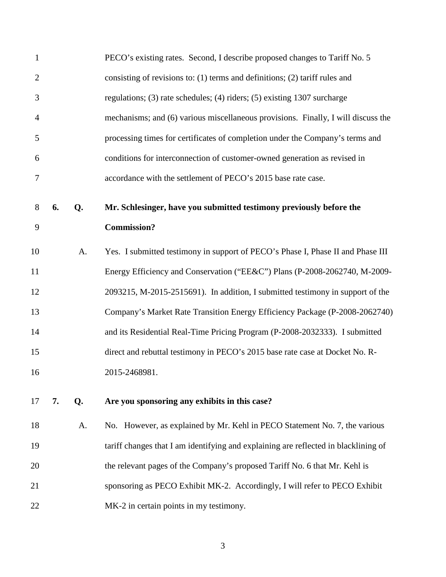| $\mathbf{1}$   |    |    | PECO's existing rates. Second, I describe proposed changes to Tariff No. 5          |
|----------------|----|----|-------------------------------------------------------------------------------------|
| $\overline{2}$ |    |    | consisting of revisions to: $(1)$ terms and definitions; $(2)$ tariff rules and     |
| 3              |    |    | regulations; (3) rate schedules; (4) riders; (5) existing 1307 surcharge            |
| $\overline{4}$ |    |    | mechanisms; and (6) various miscellaneous provisions. Finally, I will discuss the   |
| 5              |    |    | processing times for certificates of completion under the Company's terms and       |
| 6              |    |    | conditions for interconnection of customer-owned generation as revised in           |
| 7              |    |    | accordance with the settlement of PECO's 2015 base rate case.                       |
| 8              | 6. | Q. | Mr. Schlesinger, have you submitted testimony previously before the                 |
| 9              |    |    | <b>Commission?</b>                                                                  |
| 10             |    | A. | Yes. I submitted testimony in support of PECO's Phase I, Phase II and Phase III     |
| 11             |    |    | Energy Efficiency and Conservation ("EE&C") Plans (P-2008-2062740, M-2009-          |
| 12             |    |    | 2093215, M-2015-2515691). In addition, I submitted testimony in support of the      |
| 13             |    |    | Company's Market Rate Transition Energy Efficiency Package (P-2008-2062740)         |
| 14             |    |    | and its Residential Real-Time Pricing Program (P-2008-2032333). I submitted         |
| 15             |    |    | direct and rebuttal testimony in PECO's 2015 base rate case at Docket No. R-        |
| 16             |    |    | 2015-2468981.                                                                       |
| 17             | 7. | Q. | Are you sponsoring any exhibits in this case?                                       |
| 18             |    | A. | No. However, as explained by Mr. Kehl in PECO Statement No. 7, the various          |
| 19             |    |    | tariff changes that I am identifying and explaining are reflected in blacklining of |
| 20             |    |    | the relevant pages of the Company's proposed Tariff No. 6 that Mr. Kehl is          |
| 21             |    |    | sponsoring as PECO Exhibit MK-2. Accordingly, I will refer to PECO Exhibit          |
| 22             |    |    | MK-2 in certain points in my testimony.                                             |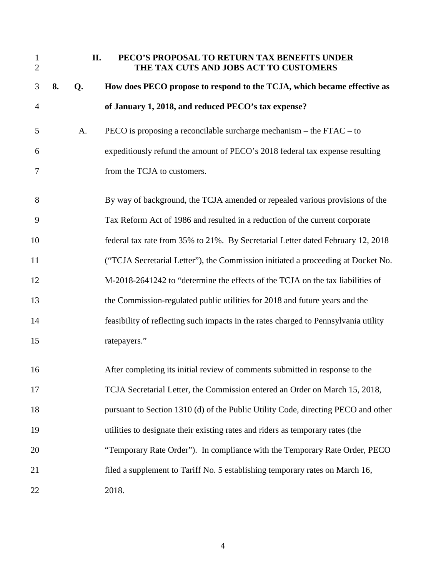| $\mathbf{1}$<br>$\overline{2}$ |    | II. | PECO'S PROPOSAL TO RETURN TAX BENEFITS UNDER<br>THE TAX CUTS AND JOBS ACT TO CUSTOMERS |
|--------------------------------|----|-----|----------------------------------------------------------------------------------------|
| 3                              | 8. | Q.  | How does PECO propose to respond to the TCJA, which became effective as                |
| $\overline{4}$                 |    |     | of January 1, 2018, and reduced PECO's tax expense?                                    |
| 5                              |    | A.  | PECO is proposing a reconcilable surcharge mechanism – the $FTAC - to$                 |
| 6                              |    |     | expeditiously refund the amount of PECO's 2018 federal tax expense resulting           |
| 7                              |    |     | from the TCJA to customers.                                                            |
| 8                              |    |     | By way of background, the TCJA amended or repealed various provisions of the           |
| 9                              |    |     | Tax Reform Act of 1986 and resulted in a reduction of the current corporate            |
| 10                             |    |     | federal tax rate from 35% to 21%. By Secretarial Letter dated February 12, 2018        |
| 11                             |    |     | ("TCJA Secretarial Letter"), the Commission initiated a proceeding at Docket No.       |
| 12                             |    |     | M-2018-2641242 to "determine the effects of the TCJA on the tax liabilities of         |
| 13                             |    |     | the Commission-regulated public utilities for 2018 and future years and the            |
| 14                             |    |     | feasibility of reflecting such impacts in the rates charged to Pennsylvania utility    |
| 15                             |    |     | ratepayers."                                                                           |
| 16                             |    |     | After completing its initial review of comments submitted in response to the           |
| 17                             |    |     | TCJA Secretarial Letter, the Commission entered an Order on March 15, 2018,            |
| 18                             |    |     | pursuant to Section 1310 (d) of the Public Utility Code, directing PECO and other      |
| 19                             |    |     | utilities to designate their existing rates and riders as temporary rates (the         |
| 20                             |    |     | "Temporary Rate Order"). In compliance with the Temporary Rate Order, PECO             |
| 21                             |    |     | filed a supplement to Tariff No. 5 establishing temporary rates on March 16,           |
| 22                             |    |     | 2018.                                                                                  |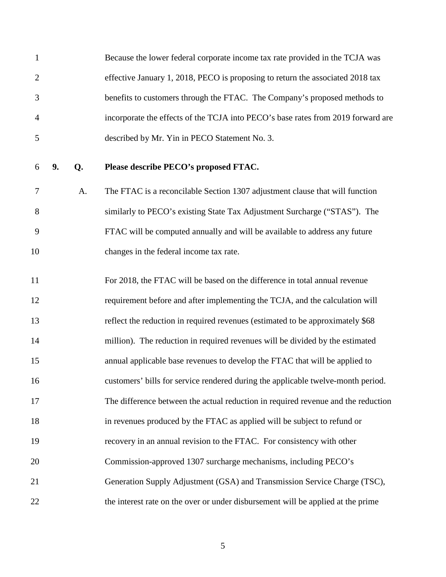1 Because the lower federal corporate income tax rate provided in the TCJA was 2 effective January 1, 2018, PECO is proposing to return the associated 2018 tax 3 benefits to customers through the FTAC. The Company's proposed methods to 4 incorporate the effects of the TCJA into PECO's base rates from 2019 forward are 5 described by Mr. Yin in PECO Statement No. 3.

#### 6 **9. Q. Please describe PECO's proposed FTAC.**

7 A. The FTAC is a reconcilable Section 1307 adjustment clause that will function 8 similarly to PECO's existing State Tax Adjustment Surcharge ("STAS"). The 9 FTAC will be computed annually and will be available to address any future 10 changes in the federal income tax rate.

11 For 2018, the FTAC will be based on the difference in total annual revenue 12 requirement before and after implementing the TCJA, and the calculation will 13 reflect the reduction in required revenues (estimated to be approximately \$68 14 million). The reduction in required revenues will be divided by the estimated 15 annual applicable base revenues to develop the FTAC that will be applied to 16 customers' bills for service rendered during the applicable twelve-month period. 17 The difference between the actual reduction in required revenue and the reduction 18 in revenues produced by the FTAC as applied will be subject to refund or 19 recovery in an annual revision to the FTAC. For consistency with other 20 Commission-approved 1307 surcharge mechanisms, including PECO's 21 Generation Supply Adjustment (GSA) and Transmission Service Charge (TSC), 22 the interest rate on the over or under disbursement will be applied at the prime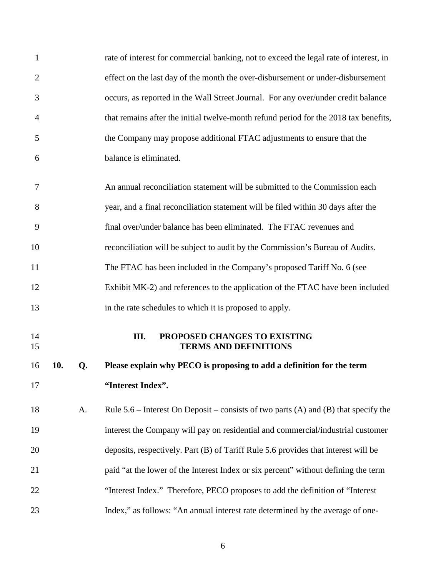| $\mathbf{1}$   |     |    | rate of interest for commercial banking, not to exceed the legal rate of interest, in |
|----------------|-----|----|---------------------------------------------------------------------------------------|
| $\overline{2}$ |     |    | effect on the last day of the month the over-disbursement or under-disbursement       |
| 3              |     |    | occurs, as reported in the Wall Street Journal. For any over/under credit balance     |
| $\overline{4}$ |     |    | that remains after the initial twelve-month refund period for the 2018 tax benefits,  |
| 5              |     |    | the Company may propose additional FTAC adjustments to ensure that the                |
| 6              |     |    | balance is eliminated.                                                                |
| 7              |     |    | An annual reconciliation statement will be submitted to the Commission each           |
| 8              |     |    | year, and a final reconciliation statement will be filed within 30 days after the     |
| 9              |     |    | final over/under balance has been eliminated. The FTAC revenues and                   |
| 10             |     |    | reconciliation will be subject to audit by the Commission's Bureau of Audits.         |
| 11             |     |    | The FTAC has been included in the Company's proposed Tariff No. 6 (see                |
| 12             |     |    | Exhibit MK-2) and references to the application of the FTAC have been included        |
| 13             |     |    | in the rate schedules to which it is proposed to apply.                               |
| 14<br>15       |     |    | III.<br>PROPOSED CHANGES TO EXISTING<br><b>TERMS AND DEFINITIONS</b>                  |
| 16             | 10. | Q. | Please explain why PECO is proposing to add a definition for the term                 |
| 17             |     |    | "Interest Index".                                                                     |
| 18             |     | A. | Rule $5.6$ – Interest On Deposit – consists of two parts (A) and (B) that specify the |
| 19             |     |    | interest the Company will pay on residential and commercial/industrial customer       |
| 20             |     |    | deposits, respectively. Part (B) of Tariff Rule 5.6 provides that interest will be    |
| 21             |     |    | paid "at the lower of the Interest Index or six percent" without defining the term    |
| 22             |     |    | "Interest Index." Therefore, PECO proposes to add the definition of "Interest"        |
| 23             |     |    | Index," as follows: "An annual interest rate determined by the average of one-        |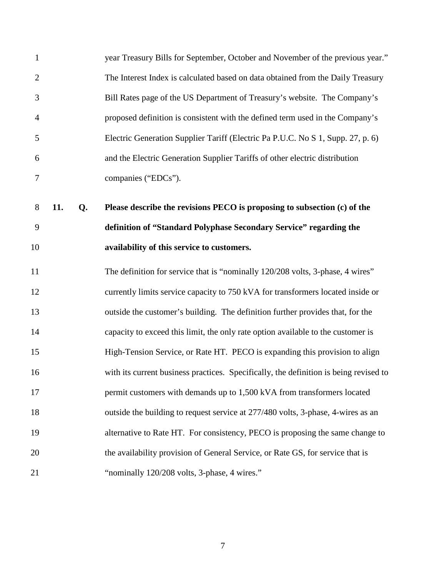| $\mathbf{1}$   |     |    | year Treasury Bills for September, October and November of the previous year."        |
|----------------|-----|----|---------------------------------------------------------------------------------------|
| $\overline{2}$ |     |    | The Interest Index is calculated based on data obtained from the Daily Treasury       |
| 3              |     |    | Bill Rates page of the US Department of Treasury's website. The Company's             |
| $\overline{4}$ |     |    | proposed definition is consistent with the defined term used in the Company's         |
| 5              |     |    | Electric Generation Supplier Tariff (Electric Pa P.U.C. No S 1, Supp. 27, p. 6)       |
| 6              |     |    | and the Electric Generation Supplier Tariffs of other electric distribution           |
| $\tau$         |     |    | companies ("EDCs").                                                                   |
| 8              | 11. | Q. | Please describe the revisions PECO is proposing to subsection (c) of the              |
| 9              |     |    | definition of "Standard Polyphase Secondary Service" regarding the                    |
| 10             |     |    | availability of this service to customers.                                            |
| 11             |     |    | The definition for service that is "nominally 120/208 volts, 3-phase, 4 wires"        |
| 12             |     |    | currently limits service capacity to 750 kVA for transformers located inside or       |
| 13             |     |    | outside the customer's building. The definition further provides that, for the        |
| 14             |     |    | capacity to exceed this limit, the only rate option available to the customer is      |
| 15             |     |    | High-Tension Service, or Rate HT. PECO is expanding this provision to align           |
| 16             |     |    | with its current business practices. Specifically, the definition is being revised to |
| 17             |     |    | permit customers with demands up to 1,500 kVA from transformers located               |
| 18             |     |    | outside the building to request service at 277/480 volts, 3-phase, 4-wires as an      |
| 19             |     |    | alternative to Rate HT. For consistency, PECO is proposing the same change to         |
| 20             |     |    | the availability provision of General Service, or Rate GS, for service that is        |
| 21             |     |    | "nominally 120/208 volts, 3-phase, 4 wires."                                          |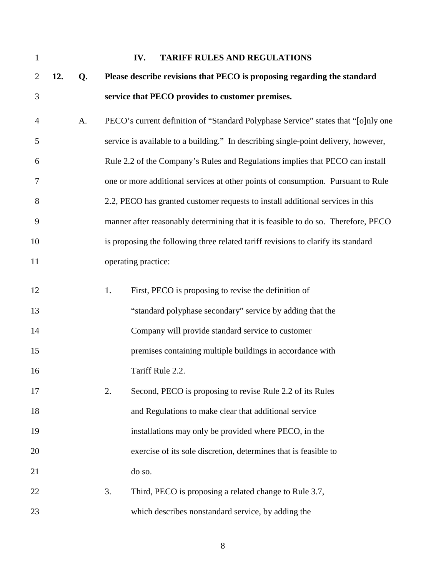| $\mathbf{1}$   |     |    | IV.<br><b>TARIFF RULES AND REGULATIONS</b>                                         |
|----------------|-----|----|------------------------------------------------------------------------------------|
| $\overline{2}$ | 12. | Q. | Please describe revisions that PECO is proposing regarding the standard            |
| 3              |     |    | service that PECO provides to customer premises.                                   |
| $\overline{4}$ |     | A. | PECO's current definition of "Standard Polyphase Service" states that "[o]nly one  |
| 5              |     |    | service is available to a building." In describing single-point delivery, however, |
| 6              |     |    | Rule 2.2 of the Company's Rules and Regulations implies that PECO can install      |
| 7              |     |    | one or more additional services at other points of consumption. Pursuant to Rule   |
| 8              |     |    | 2.2, PECO has granted customer requests to install additional services in this     |
| 9              |     |    | manner after reasonably determining that it is feasible to do so. Therefore, PECO  |
| 10             |     |    | is proposing the following three related tariff revisions to clarify its standard  |
| 11             |     |    | operating practice:                                                                |
| 12             |     |    | 1.<br>First, PECO is proposing to revise the definition of                         |
| 13             |     |    | "standard polyphase secondary" service by adding that the                          |
| 14             |     |    | Company will provide standard service to customer                                  |
| 15             |     |    | premises containing multiple buildings in accordance with                          |
| 16             |     |    | Tariff Rule 2.2.                                                                   |
| 17             |     |    | Second, PECO is proposing to revise Rule 2.2 of its Rules<br>2.                    |
| 18             |     |    | and Regulations to make clear that additional service                              |
| 19             |     |    | installations may only be provided where PECO, in the                              |
| 20             |     |    | exercise of its sole discretion, determines that is feasible to                    |
| 21             |     |    | do so.                                                                             |
| 22             |     |    | 3.<br>Third, PECO is proposing a related change to Rule 3.7,                       |
| 23             |     |    | which describes nonstandard service, by adding the                                 |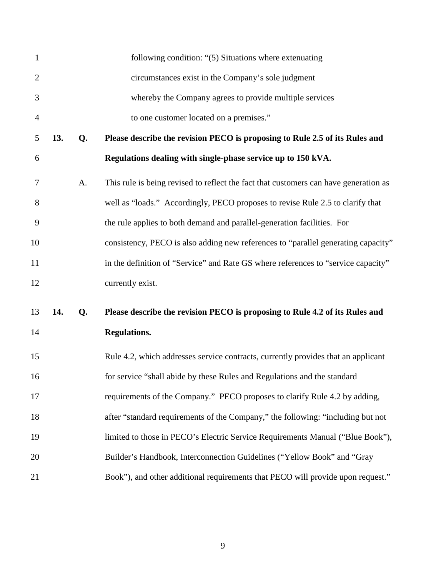| $\mathbf{1}$   |     |    | following condition: "(5) Situations where extenuating                               |
|----------------|-----|----|--------------------------------------------------------------------------------------|
| $\overline{2}$ |     |    | circumstances exist in the Company's sole judgment                                   |
| 3              |     |    | whereby the Company agrees to provide multiple services                              |
| $\overline{4}$ |     |    | to one customer located on a premises."                                              |
| 5              | 13. | Q. | Please describe the revision PECO is proposing to Rule 2.5 of its Rules and          |
| 6              |     |    | Regulations dealing with single-phase service up to 150 kVA.                         |
| 7              |     | A. | This rule is being revised to reflect the fact that customers can have generation as |
| 8              |     |    | well as "loads." Accordingly, PECO proposes to revise Rule 2.5 to clarify that       |
| 9              |     |    | the rule applies to both demand and parallel-generation facilities. For              |
| 10             |     |    | consistency, PECO is also adding new references to "parallel generating capacity"    |
| 11             |     |    | in the definition of "Service" and Rate GS where references to "service capacity"    |
| 12             |     |    | currently exist.                                                                     |
| 13             | 14. | Q. | Please describe the revision PECO is proposing to Rule 4.2 of its Rules and          |
| 14             |     |    | <b>Regulations.</b>                                                                  |
| 15             |     |    | Rule 4.2, which addresses service contracts, currently provides that an applicant    |
| 16             |     |    | for service "shall abide by these Rules and Regulations and the standard             |
| 17             |     |    | requirements of the Company." PECO proposes to clarify Rule 4.2 by adding,           |
| 18             |     |    | after "standard requirements of the Company," the following: "including but not      |
| 19             |     |    | limited to those in PECO's Electric Service Requirements Manual ("Blue Book"),       |
| 20             |     |    | Builder's Handbook, Interconnection Guidelines ("Yellow Book" and "Gray              |
| 21             |     |    | Book"), and other additional requirements that PECO will provide upon request."      |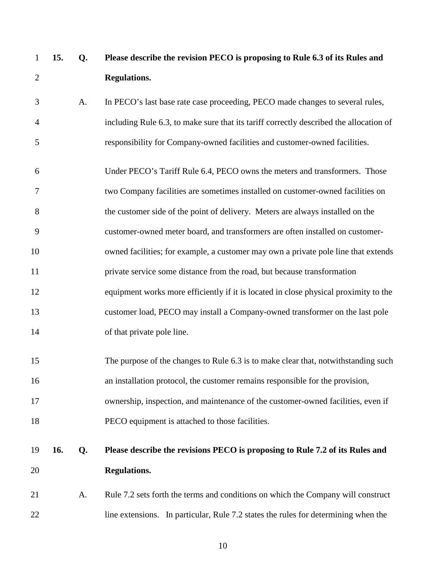| $\mathbf{1}$   | 15. | Q. | Please describe the revision PECO is proposing to Rule 6.3 of its Rules and            |
|----------------|-----|----|----------------------------------------------------------------------------------------|
| $\overline{2}$ |     |    | <b>Regulations.</b>                                                                    |
| 3              |     | A. | In PECO's last base rate case proceeding, PECO made changes to several rules,          |
| 4              |     |    | including Rule 6.3, to make sure that its tariff correctly described the allocation of |
| 5              |     |    | responsibility for Company-owned facilities and customer-owned facilities.             |
| 6              |     |    | Under PECO's Tariff Rule 6.4, PECO owns the meters and transformers. Those             |
| 7              |     |    | two Company facilities are sometimes installed on customer-owned facilities on         |
| 8              |     |    | the customer side of the point of delivery. Meters are always installed on the         |
| 9              |     |    | customer-owned meter board, and transformers are often installed on customer-          |
| 10             |     |    | owned facilities; for example, a customer may own a private pole line that extends     |
| 11             |     |    | private service some distance from the road, but because transformation                |
| 12             |     |    | equipment works more efficiently if it is located in close physical proximity to the   |
| 13             |     |    | customer load, PECO may install a Company-owned transformer on the last pole           |
| 14             |     |    | of that private pole line.                                                             |
| 15             |     |    | The purpose of the changes to Rule 6.3 is to make clear that, notwithstanding such     |
| 16             |     |    | an installation protocol, the customer remains responsible for the provision,          |
| 17             |     |    | ownership, inspection, and maintenance of the customer-owned facilities, even if       |
| 18             |     |    | PECO equipment is attached to those facilities.                                        |
| 19             | 16. | Q. | Please describe the revisions PECO is proposing to Rule 7.2 of its Rules and           |
| 20             |     |    | <b>Regulations.</b>                                                                    |
| 21             |     | A. | Rule 7.2 sets forth the terms and conditions on which the Company will construct       |
| 22             |     |    | line extensions. In particular, Rule 7.2 states the rules for determining when the     |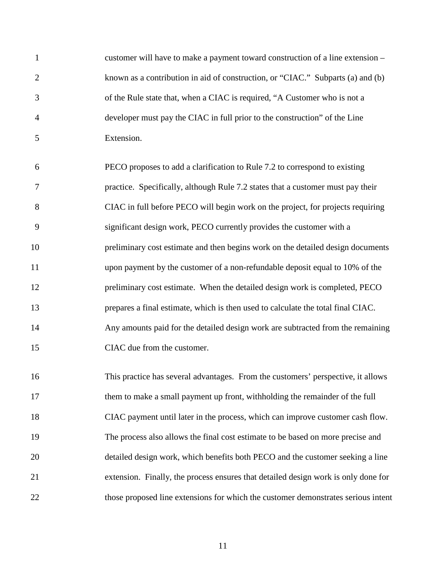| $\mathbf{1}$   | customer will have to make a payment toward construction of a line extension –     |
|----------------|------------------------------------------------------------------------------------|
| $\overline{2}$ | known as a contribution in aid of construction, or "CIAC." Subparts (a) and (b)    |
| 3              | of the Rule state that, when a CIAC is required, "A Customer who is not a          |
| $\overline{4}$ | developer must pay the CIAC in full prior to the construction" of the Line         |
| 5              | Extension.                                                                         |
| 6              | PECO proposes to add a clarification to Rule 7.2 to correspond to existing         |
| 7              | practice. Specifically, although Rule 7.2 states that a customer must pay their    |
| 8              | CIAC in full before PECO will begin work on the project, for projects requiring    |
| 9              | significant design work, PECO currently provides the customer with a               |
| 10             | preliminary cost estimate and then begins work on the detailed design documents    |
| 11             | upon payment by the customer of a non-refundable deposit equal to 10% of the       |
| 12             | preliminary cost estimate. When the detailed design work is completed, PECO        |
| 13             | prepares a final estimate, which is then used to calculate the total final CIAC.   |
| 14             | Any amounts paid for the detailed design work are subtracted from the remaining    |
| 15             | CIAC due from the customer.                                                        |
| 16             | This practice has several advantages. From the customers' perspective, it allows   |
| 17             | them to make a small payment up front, withholding the remainder of the full       |
| 18             | CIAC payment until later in the process, which can improve customer cash flow.     |
| 19             | The process also allows the final cost estimate to be based on more precise and    |
| 20             | detailed design work, which benefits both PECO and the customer seeking a line     |
| 21             | extension. Finally, the process ensures that detailed design work is only done for |
| 22             | those proposed line extensions for which the customer demonstrates serious intent  |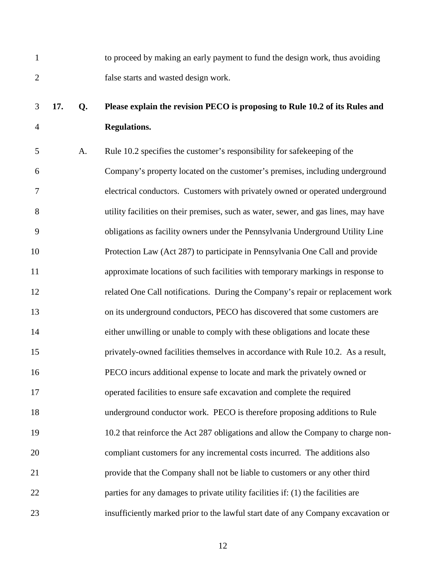| to proceed by making an early payment to fund the design work, thus avoiding |
|------------------------------------------------------------------------------|
| false starts and wasted design work.                                         |

## 3 **17. Q. Please explain the revision PECO is proposing to Rule 10.2 of its Rules and**  4 **Regulations.**

5 A. Rule 10.2 specifies the customer's responsibility for safekeeping of the 6 Company's property located on the customer's premises, including underground 7 electrical conductors. Customers with privately owned or operated underground 8 utility facilities on their premises, such as water, sewer, and gas lines, may have 9 obligations as facility owners under the Pennsylvania Underground Utility Line 10 Protection Law (Act 287) to participate in Pennsylvania One Call and provide 11 approximate locations of such facilities with temporary markings in response to 12 related One Call notifications. During the Company's repair or replacement work 13 on its underground conductors, PECO has discovered that some customers are 14 either unwilling or unable to comply with these obligations and locate these 15 privately-owned facilities themselves in accordance with Rule 10.2. As a result, 16 PECO incurs additional expense to locate and mark the privately owned or 17 operated facilities to ensure safe excavation and complete the required 18 underground conductor work. PECO is therefore proposing additions to Rule 19 10.2 that reinforce the Act 287 obligations and allow the Company to charge non-20 compliant customers for any incremental costs incurred. The additions also 21 provide that the Company shall not be liable to customers or any other third 22 parties for any damages to private utility facilities if: (1) the facilities are 23 insufficiently marked prior to the lawful start date of any Company excavation or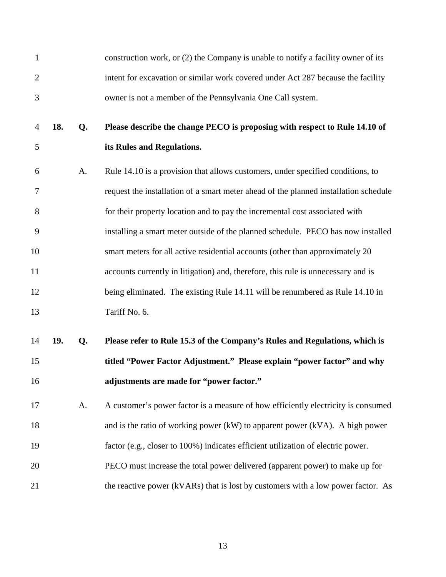| $\mathbf{1}$   |     |    | construction work, or (2) the Company is unable to notify a facility owner of its    |
|----------------|-----|----|--------------------------------------------------------------------------------------|
| $\overline{2}$ |     |    | intent for excavation or similar work covered under Act 287 because the facility     |
| 3              |     |    | owner is not a member of the Pennsylvania One Call system.                           |
| $\overline{4}$ | 18. | Q. | Please describe the change PECO is proposing with respect to Rule 14.10 of           |
| 5              |     |    | its Rules and Regulations.                                                           |
| 6              |     | A. | Rule 14.10 is a provision that allows customers, under specified conditions, to      |
| 7              |     |    | request the installation of a smart meter ahead of the planned installation schedule |
| 8              |     |    | for their property location and to pay the incremental cost associated with          |
| 9              |     |    | installing a smart meter outside of the planned schedule. PECO has now installed     |
| 10             |     |    | smart meters for all active residential accounts (other than approximately 20        |
| 11             |     |    | accounts currently in litigation) and, therefore, this rule is unnecessary and is    |
| 12             |     |    | being eliminated. The existing Rule 14.11 will be renumbered as Rule 14.10 in        |
| 13             |     |    | Tariff No. 6.                                                                        |
| 14             | 19. | Q. | Please refer to Rule 15.3 of the Company's Rules and Regulations, which is           |
| 15             |     |    | titled "Power Factor Adjustment." Please explain "power factor" and why              |
| 16             |     |    | adjustments are made for "power factor."                                             |
| 17             |     | A. | A customer's power factor is a measure of how efficiently electricity is consumed    |
| 18             |     |    | and is the ratio of working power (kW) to apparent power (kVA). A high power         |
| 19             |     |    | factor (e.g., closer to 100%) indicates efficient utilization of electric power.     |
| 20             |     |    | PECO must increase the total power delivered (apparent power) to make up for         |
| 21             |     |    | the reactive power (kVARs) that is lost by customers with a low power factor. As     |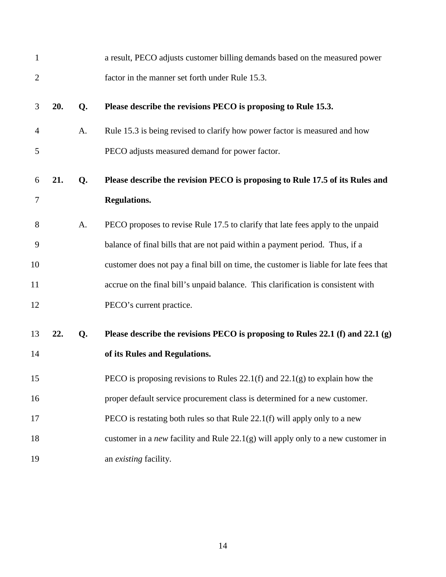| $\mathbf{1}$   |     |    | a result, PECO adjusts customer billing demands based on the measured power               |
|----------------|-----|----|-------------------------------------------------------------------------------------------|
| $\overline{2}$ |     |    | factor in the manner set forth under Rule 15.3.                                           |
| 3              | 20. | Q. | Please describe the revisions PECO is proposing to Rule 15.3.                             |
| 4              |     | A. | Rule 15.3 is being revised to clarify how power factor is measured and how                |
| 5              |     |    | PECO adjusts measured demand for power factor.                                            |
| 6              | 21. | Q. | Please describe the revision PECO is proposing to Rule 17.5 of its Rules and              |
| 7              |     |    | <b>Regulations.</b>                                                                       |
| 8              |     | A. | PECO proposes to revise Rule 17.5 to clarify that late fees apply to the unpaid           |
| 9              |     |    | balance of final bills that are not paid within a payment period. Thus, if a              |
| 10             |     |    | customer does not pay a final bill on time, the customer is liable for late fees that     |
| 11             |     |    | accrue on the final bill's unpaid balance. This clarification is consistent with          |
| 12             |     |    | PECO's current practice.                                                                  |
| 13             | 22. | Q. | Please describe the revisions PECO is proposing to Rules 22.1 (f) and 22.1 (g)            |
| 14             |     |    | of its Rules and Regulations.                                                             |
| 15             |     |    | PECO is proposing revisions to Rules $22.1(f)$ and $22.1(g)$ to explain how the           |
| 16             |     |    | proper default service procurement class is determined for a new customer.                |
| 17             |     |    | PECO is restating both rules so that Rule 22.1(f) will apply only to a new                |
| 18             |     |    | customer in a <i>new</i> facility and Rule $22.1(g)$ will apply only to a new customer in |
| 19             |     |    | an existing facility.                                                                     |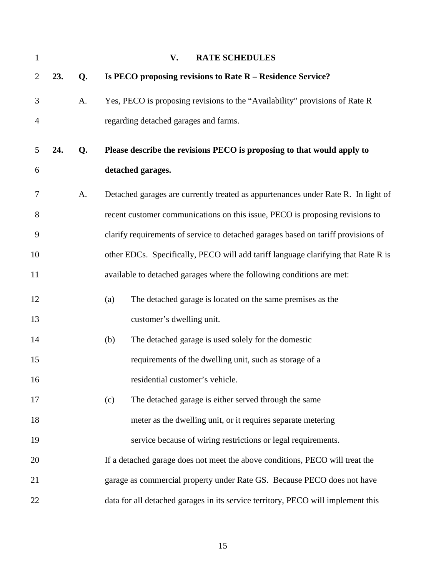| 1              |     |    | V.<br><b>RATE SCHEDULES</b>                                                       |
|----------------|-----|----|-----------------------------------------------------------------------------------|
| $\overline{2}$ | 23. | Q. | Is PECO proposing revisions to Rate R - Residence Service?                        |
| 3              |     | A. | Yes, PECO is proposing revisions to the "Availability" provisions of Rate R       |
| 4              |     |    | regarding detached garages and farms.                                             |
| 5              | 24. | Q. | Please describe the revisions PECO is proposing to that would apply to            |
| 6              |     |    | detached garages.                                                                 |
| 7              |     | A. | Detached garages are currently treated as appurtenances under Rate R. In light of |
| 8              |     |    | recent customer communications on this issue, PECO is proposing revisions to      |
| 9              |     |    | clarify requirements of service to detached garages based on tariff provisions of |
| 10             |     |    | other EDCs. Specifically, PECO will add tariff language clarifying that Rate R is |
| 11             |     |    | available to detached garages where the following conditions are met:             |
| 12             |     |    | The detached garage is located on the same premises as the<br>(a)                 |
| 13             |     |    | customer's dwelling unit.                                                         |
| 14             |     |    | The detached garage is used solely for the domestic<br>(b)                        |
| 15             |     |    | requirements of the dwelling unit, such as storage of a                           |
| 16             |     |    | residential customer's vehicle.                                                   |
| 17             |     |    | The detached garage is either served through the same<br>(c)                      |
| 18             |     |    | meter as the dwelling unit, or it requires separate metering                      |
| 19             |     |    | service because of wiring restrictions or legal requirements.                     |
| 20             |     |    | If a detached garage does not meet the above conditions, PECO will treat the      |
| 21             |     |    | garage as commercial property under Rate GS. Because PECO does not have           |
| 22             |     |    | data for all detached garages in its service territory, PECO will implement this  |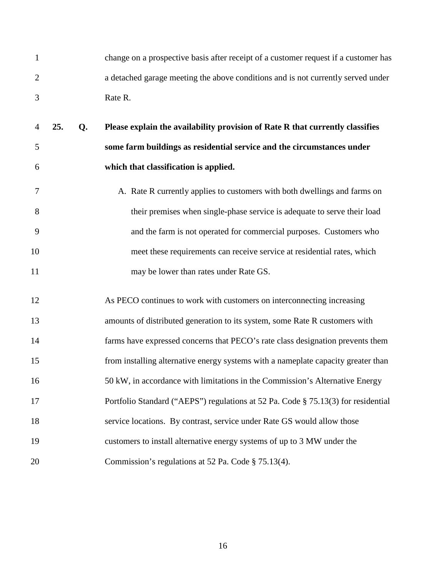| change on a prospective basis after receipt of a customer request if a customer has |
|-------------------------------------------------------------------------------------|
| a detached garage meeting the above conditions and is not currently served under    |
| Rate R.                                                                             |

- 4 **25. Q. Please explain the availability provision of Rate R that currently classifies**  5 **some farm buildings as residential service and the circumstances under**  6 **which that classification is applied.**
- 7 A. Rate R currently applies to customers with both dwellings and farms on 8 their premises when single-phase service is adequate to serve their load 9 and the farm is not operated for commercial purposes. Customers who 10 meet these requirements can receive service at residential rates, which 11 may be lower than rates under Rate GS.
- 12 As PECO continues to work with customers on interconnecting increasing 13 amounts of distributed generation to its system, some Rate R customers with 14 farms have expressed concerns that PECO's rate class designation prevents them 15 from installing alternative energy systems with a nameplate capacity greater than 16 50 kW, in accordance with limitations in the Commission's Alternative Energy 17 Portfolio Standard ("AEPS") regulations at 52 Pa. Code § 75.13(3) for residential 18 service locations. By contrast, service under Rate GS would allow those 19 customers to install alternative energy systems of up to 3 MW under the 20 Commission's regulations at 52 Pa. Code § 75.13(4).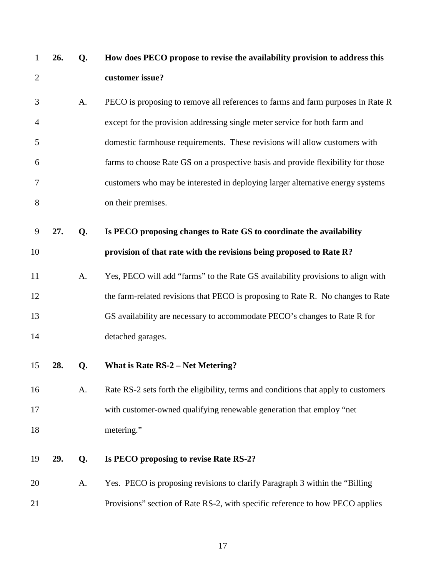| 1              | 26. | Q. | How does PECO propose to revise the availability provision to address this         |
|----------------|-----|----|------------------------------------------------------------------------------------|
| $\overline{2}$ |     |    | customer issue?                                                                    |
| 3              |     | A. | PECO is proposing to remove all references to farms and farm purposes in Rate R    |
| $\overline{4}$ |     |    | except for the provision addressing single meter service for both farm and         |
| 5              |     |    | domestic farmhouse requirements. These revisions will allow customers with         |
| 6              |     |    | farms to choose Rate GS on a prospective basis and provide flexibility for those   |
| 7              |     |    | customers who may be interested in deploying larger alternative energy systems     |
| 8              |     |    | on their premises.                                                                 |
| 9              | 27. | Q. | Is PECO proposing changes to Rate GS to coordinate the availability                |
| 10             |     |    | provision of that rate with the revisions being proposed to Rate R?                |
| 11             |     | A. | Yes, PECO will add "farms" to the Rate GS availability provisions to align with    |
| 12             |     |    | the farm-related revisions that PECO is proposing to Rate R. No changes to Rate    |
| 13             |     |    | GS availability are necessary to accommodate PECO's changes to Rate R for          |
| 14             |     |    | detached garages.                                                                  |
| 15             | 28. | Q. | What is Rate $RS-2$ – Net Metering?                                                |
| 16             |     | A. | Rate RS-2 sets forth the eligibility, terms and conditions that apply to customers |
| 17             |     |    | with customer-owned qualifying renewable generation that employ "net               |
| 18             |     |    | metering."                                                                         |
| 19             | 29. | Q. | Is PECO proposing to revise Rate RS-2?                                             |
| 20             |     | A. | Yes. PECO is proposing revisions to clarify Paragraph 3 within the "Billing"       |
| 21             |     |    | Provisions" section of Rate RS-2, with specific reference to how PECO applies      |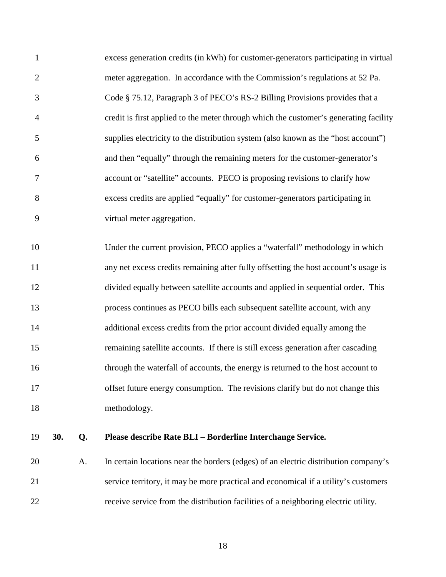1 excess generation credits (in kWh) for customer-generators participating in virtual 2 meter aggregation. In accordance with the Commission's regulations at 52 Pa. 3 Code § 75.12, Paragraph 3 of PECO's RS-2 Billing Provisions provides that a 4 credit is first applied to the meter through which the customer's generating facility 5 supplies electricity to the distribution system (also known as the "host account") 6 and then "equally" through the remaining meters for the customer-generator's 7 account or "satellite" accounts. PECO is proposing revisions to clarify how 8 excess credits are applied "equally" for customer-generators participating in 9 virtual meter aggregation.

10 Under the current provision, PECO applies a "waterfall" methodology in which 11 any net excess credits remaining after fully offsetting the host account's usage is 12 divided equally between satellite accounts and applied in sequential order. This 13 process continues as PECO bills each subsequent satellite account, with any 14 additional excess credits from the prior account divided equally among the 15 remaining satellite accounts. If there is still excess generation after cascading 16 through the waterfall of accounts, the energy is returned to the host account to 17 offset future energy consumption. The revisions clarify but do not change this 18 methodology.

#### 19 **30. Q. Please describe Rate BLI – Borderline Interchange Service.**

20 A. In certain locations near the borders (edges) of an electric distribution company's 21 service territory, it may be more practical and economical if a utility's customers 22 receive service from the distribution facilities of a neighboring electric utility.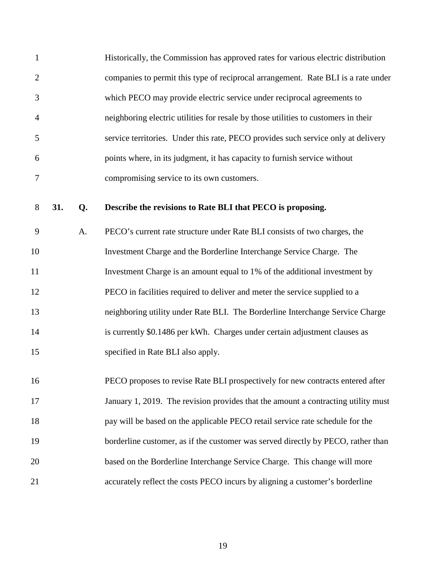| $\mathbf{1}$   | Historically, the Commission has approved rates for various electric distribution  |
|----------------|------------------------------------------------------------------------------------|
| 2              | companies to permit this type of reciprocal arrangement. Rate BLI is a rate under  |
| 3              | which PECO may provide electric service under reciprocal agreements to             |
| $\overline{4}$ | neighboring electric utilities for resale by those utilities to customers in their |
| -5             | service territories. Under this rate, PECO provides such service only at delivery  |
| 6              | points where, in its judgment, it has capacity to furnish service without          |
| 7              | compromising service to its own customers.                                         |

#### 8 **31. Q. Describe the revisions to Rate BLI that PECO is proposing.**

9 A. PECO's current rate structure under Rate BLI consists of two charges, the 10 Investment Charge and the Borderline Interchange Service Charge. The 11 Investment Charge is an amount equal to 1% of the additional investment by 12 PECO in facilities required to deliver and meter the service supplied to a 13 neighboring utility under Rate BLI. The Borderline Interchange Service Charge 14 is currently \$0.1486 per kWh. Charges under certain adjustment clauses as 15 specified in Rate BLI also apply.

16 PECO proposes to revise Rate BLI prospectively for new contracts entered after 17 January 1, 2019. The revision provides that the amount a contracting utility must 18 pay will be based on the applicable PECO retail service rate schedule for the 19 borderline customer, as if the customer was served directly by PECO, rather than 20 based on the Borderline Interchange Service Charge. This change will more 21 accurately reflect the costs PECO incurs by aligning a customer's borderline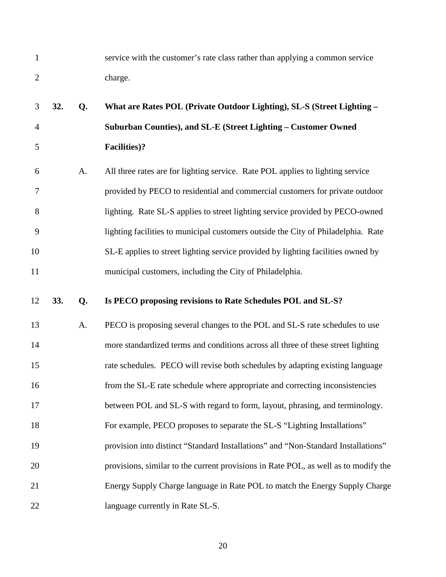1 service with the customer's rate class rather than applying a common service 2 charge.

# 3 **32. Q. What are Rates POL (Private Outdoor Lighting), SL-S (Street Lighting –**  4 **Suburban Counties), and SL-E (Street Lighting – Customer Owned**  5 **Facilities)?**

6 A. All three rates are for lighting service. Rate POL applies to lighting service 7 provided by PECO to residential and commercial customers for private outdoor 8 lighting. Rate SL-S applies to street lighting service provided by PECO-owned 9 lighting facilities to municipal customers outside the City of Philadelphia. Rate 10 SL-E applies to street lighting service provided by lighting facilities owned by 11 municipal customers, including the City of Philadelphia.

#### 12 **33. Q. Is PECO proposing revisions to Rate Schedules POL and SL-S?**

13 A. PECO is proposing several changes to the POL and SL-S rate schedules to use 14 more standardized terms and conditions across all three of these street lighting 15 rate schedules. PECO will revise both schedules by adapting existing language 16 from the SL-E rate schedule where appropriate and correcting inconsistencies 17 between POL and SL-S with regard to form, layout, phrasing, and terminology. 18 For example, PECO proposes to separate the SL-S "Lighting Installations" 19 provision into distinct "Standard Installations" and "Non-Standard Installations" 20 provisions, similar to the current provisions in Rate POL, as well as to modify the 21 Energy Supply Charge language in Rate POL to match the Energy Supply Charge 22 language currently in Rate SL-S.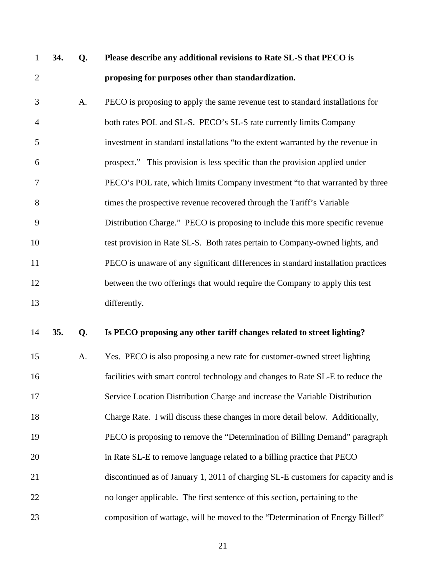| $\mathbf{1}$   | 34. | Q. | Please describe any additional revisions to Rate SL-S that PECO is                |
|----------------|-----|----|-----------------------------------------------------------------------------------|
| $\overline{2}$ |     |    | proposing for purposes other than standardization.                                |
| 3              |     | A. | PECO is proposing to apply the same revenue test to standard installations for    |
| 4              |     |    | both rates POL and SL-S. PECO's SL-S rate currently limits Company                |
| 5              |     |    | investment in standard installations "to the extent warranted by the revenue in   |
| 6              |     |    | prospect." This provision is less specific than the provision applied under       |
| 7              |     |    | PECO's POL rate, which limits Company investment "to that warranted by three      |
| 8              |     |    | times the prospective revenue recovered through the Tariff's Variable             |
| 9              |     |    | Distribution Charge." PECO is proposing to include this more specific revenue     |
| 10             |     |    | test provision in Rate SL-S. Both rates pertain to Company-owned lights, and      |
| 11             |     |    | PECO is unaware of any significant differences in standard installation practices |
| 12             |     |    | between the two offerings that would require the Company to apply this test       |
| 13             |     |    | differently.                                                                      |
| 14             | 35. | Q. | Is PECO proposing any other tariff changes related to street lighting?            |
| 15             |     | A. | Yes. PECO is also proposing a new rate for customer-owned street lighting         |
| 16             |     |    | facilities with smart control technology and changes to Rate SL-E to reduce the   |
| 17             |     |    | Service Location Distribution Charge and increase the Variable Distribution       |
| 18             |     |    | Charge Rate. I will discuss these changes in more detail below. Additionally,     |
| 19             |     |    | PECO is proposing to remove the "Determination of Billing Demand" paragraph       |
| 20             |     |    | in Rate SL-E to remove language related to a billing practice that PECO           |
| 21             |     |    | discontinued as of January 1, 2011 of charging SL-E customers for capacity and is |
| 22             |     |    | no longer applicable. The first sentence of this section, pertaining to the       |
| 23             |     |    | composition of wattage, will be moved to the "Determination of Energy Billed"     |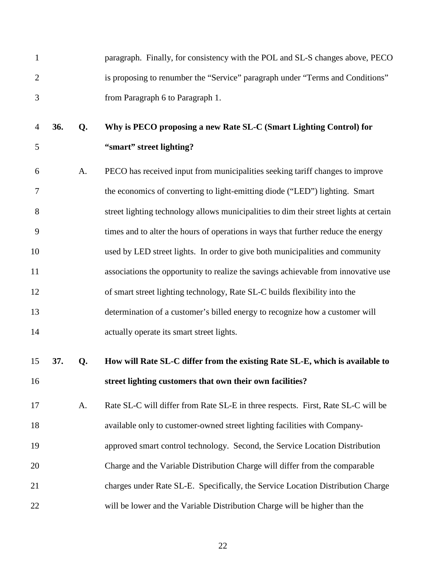| $\mathbf{1}$   |     |    | paragraph. Finally, for consistency with the POL and SL-S changes above, PECO          |
|----------------|-----|----|----------------------------------------------------------------------------------------|
| $\overline{2}$ |     |    | is proposing to renumber the "Service" paragraph under "Terms and Conditions"          |
| 3              |     |    | from Paragraph 6 to Paragraph 1.                                                       |
| $\overline{4}$ | 36. | Q. | Why is PECO proposing a new Rate SL-C (Smart Lighting Control) for                     |
| 5              |     |    | "smart" street lighting?                                                               |
| 6              |     | A. | PECO has received input from municipalities seeking tariff changes to improve          |
| 7              |     |    | the economics of converting to light-emitting diode ("LED") lighting. Smart            |
| 8              |     |    | street lighting technology allows municipalities to dim their street lights at certain |
| 9              |     |    | times and to alter the hours of operations in ways that further reduce the energy      |
| 10             |     |    | used by LED street lights. In order to give both municipalities and community          |
| 11             |     |    | associations the opportunity to realize the savings achievable from innovative use     |
| 12             |     |    | of smart street lighting technology, Rate SL-C builds flexibility into the             |
| 13             |     |    | determination of a customer's billed energy to recognize how a customer will           |
| 14             |     |    | actually operate its smart street lights.                                              |
| 15             | 37. | Q. | How will Rate SL-C differ from the existing Rate SL-E, which is available to           |
| 16             |     |    | street lighting customers that own their own facilities?                               |
| 17             |     | A. | Rate SL-C will differ from Rate SL-E in three respects. First, Rate SL-C will be       |
| 18             |     |    | available only to customer-owned street lighting facilities with Company-              |
| 19             |     |    | approved smart control technology. Second, the Service Location Distribution           |
| 20             |     |    | Charge and the Variable Distribution Charge will differ from the comparable            |
| 21             |     |    | charges under Rate SL-E. Specifically, the Service Location Distribution Charge        |
| 22             |     |    | will be lower and the Variable Distribution Charge will be higher than the             |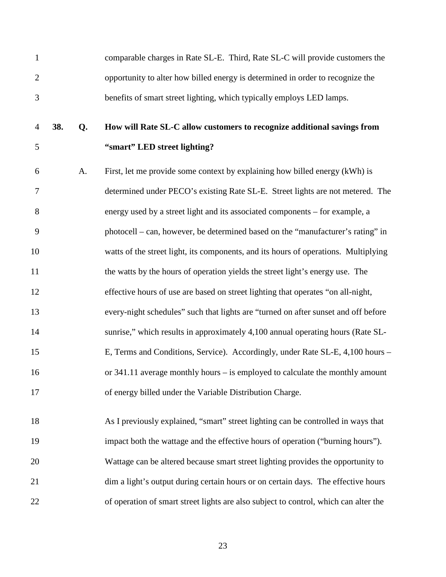| $\mathbf{1}$ |     |    | comparable charges in Rate SL-E. Third, Rate SL-C will provide customers the         |
|--------------|-----|----|--------------------------------------------------------------------------------------|
| $\mathbf{2}$ |     |    | opportunity to alter how billed energy is determined in order to recognize the       |
| 3            |     |    | benefits of smart street lighting, which typically employs LED lamps.                |
| 4            | 38. | Q. | How will Rate SL-C allow customers to recognize additional savings from              |
| 5            |     |    | "smart" LED street lighting?                                                         |
| 6            |     | A. | First, let me provide some context by explaining how billed energy (kWh) is          |
| $\tau$       |     |    | determined under PECO's existing Rate SL-E. Street lights are not metered. The       |
| 8            |     |    | energy used by a street light and its associated components - for example, a         |
| 9            |     |    | photocell – can, however, be determined based on the "manufacturer's rating" in      |
| 10           |     |    | watts of the street light, its components, and its hours of operations. Multiplying  |
| 11           |     |    | the watts by the hours of operation yields the street light's energy use. The        |
| 12           |     |    | effective hours of use are based on street lighting that operates "on all-night,     |
| 13           |     |    | every-night schedules" such that lights are "turned on after sunset and off before   |
| 14           |     |    | sunrise," which results in approximately 4,100 annual operating hours (Rate SL-      |
| 15           |     |    | E, Terms and Conditions, Service). Accordingly, under Rate SL-E, 4,100 hours -       |
| 16           |     |    | or $341.11$ average monthly hours – is employed to calculate the monthly amount      |
| 17           |     |    | of energy billed under the Variable Distribution Charge.                             |
| 18           |     |    | As I previously explained, "smart" street lighting can be controlled in ways that    |
| 19           |     |    | impact both the wattage and the effective hours of operation ("burning hours").      |
| 20           |     |    | Wattage can be altered because smart street lighting provides the opportunity to     |
| 21           |     |    | dim a light's output during certain hours or on certain days. The effective hours    |
| 22           |     |    | of operation of smart street lights are also subject to control, which can alter the |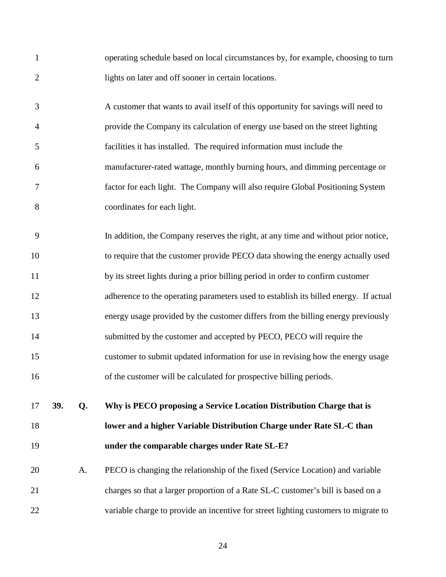| $\mathbf{1}$   |     |    | operating schedule based on local circumstances by, for example, choosing to turn    |
|----------------|-----|----|--------------------------------------------------------------------------------------|
| $\overline{2}$ |     |    | lights on later and off sooner in certain locations.                                 |
| 3              |     |    | A customer that wants to avail itself of this opportunity for savings will need to   |
| $\overline{4}$ |     |    | provide the Company its calculation of energy use based on the street lighting       |
| 5              |     |    | facilities it has installed. The required information must include the               |
| 6              |     |    | manufacturer-rated wattage, monthly burning hours, and dimming percentage or         |
| 7              |     |    | factor for each light. The Company will also require Global Positioning System       |
| 8              |     |    | coordinates for each light.                                                          |
| 9              |     |    | In addition, the Company reserves the right, at any time and without prior notice,   |
| 10             |     |    | to require that the customer provide PECO data showing the energy actually used      |
| 11             |     |    | by its street lights during a prior billing period in order to confirm customer      |
| 12             |     |    | adherence to the operating parameters used to establish its billed energy. If actual |
| 13             |     |    | energy usage provided by the customer differs from the billing energy previously     |
| 14             |     |    | submitted by the customer and accepted by PECO, PECO will require the                |
| 15             |     |    | customer to submit updated information for use in revising how the energy usage      |
| 16             |     |    | of the customer will be calculated for prospective billing periods.                  |
| 17             | 39. | Q. | Why is PECO proposing a Service Location Distribution Charge that is                 |
| 18             |     |    | lower and a higher Variable Distribution Charge under Rate SL-C than                 |
| 19             |     |    | under the comparable charges under Rate SL-E?                                        |
| 20             |     | A. | PECO is changing the relationship of the fixed (Service Location) and variable       |
| 21             |     |    | charges so that a larger proportion of a Rate SL-C customer's bill is based on a     |
| 22             |     |    | variable charge to provide an incentive for street lighting customers to migrate to  |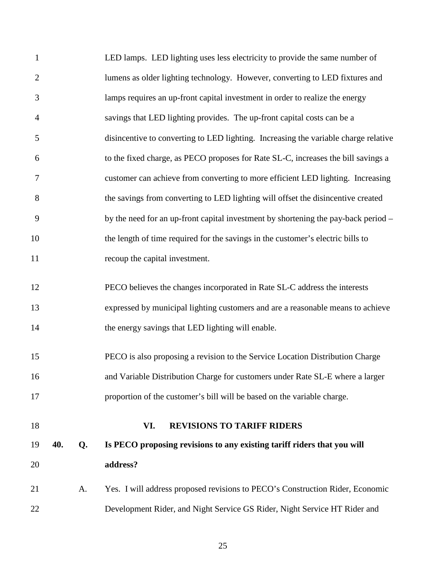| 22             |     |    | Development Rider, and Night Service GS Rider, Night Service HT Rider and           |
|----------------|-----|----|-------------------------------------------------------------------------------------|
| 21             |     | A. | Yes. I will address proposed revisions to PECO's Construction Rider, Economic       |
| 20             |     |    | address?                                                                            |
| 19             | 40. | Q. | Is PECO proposing revisions to any existing tariff riders that you will             |
| 18             |     |    | <b>REVISIONS TO TARIFF RIDERS</b><br>VI.                                            |
| 17             |     |    | proportion of the customer's bill will be based on the variable charge.             |
|                |     |    | and Variable Distribution Charge for customers under Rate SL-E where a larger       |
| 16             |     |    |                                                                                     |
| 15             |     |    | PECO is also proposing a revision to the Service Location Distribution Charge       |
| 14             |     |    | the energy savings that LED lighting will enable.                                   |
| 13             |     |    | expressed by municipal lighting customers and are a reasonable means to achieve     |
| 12             |     |    | PECO believes the changes incorporated in Rate SL-C address the interests           |
| 11             |     |    | recoup the capital investment.                                                      |
| 10             |     |    | the length of time required for the savings in the customer's electric bills to     |
| 9              |     |    | by the need for an up-front capital investment by shortening the pay-back period –  |
| 8              |     |    | the savings from converting to LED lighting will offset the disincentive created    |
| 7              |     |    | customer can achieve from converting to more efficient LED lighting. Increasing     |
| 6              |     |    | to the fixed charge, as PECO proposes for Rate SL-C, increases the bill savings a   |
| 5              |     |    | disincentive to converting to LED lighting. Increasing the variable charge relative |
| $\overline{4}$ |     |    | savings that LED lighting provides. The up-front capital costs can be a             |
| 3              |     |    | lamps requires an up-front capital investment in order to realize the energy        |
| $\overline{2}$ |     |    | lumens as older lighting technology. However, converting to LED fixtures and        |
|                |     |    |                                                                                     |
| $\mathbf{1}$   |     |    | LED lamps. LED lighting uses less electricity to provide the same number of         |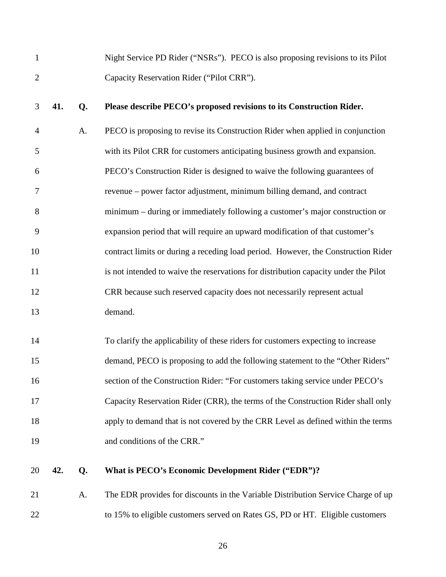| 1              |     |    | Night Service PD Rider ("NSRs"). PECO is also proposing revisions to its Pilot      |
|----------------|-----|----|-------------------------------------------------------------------------------------|
| $\overline{2}$ |     |    | Capacity Reservation Rider ("Pilot CRR").                                           |
| 3              | 41. | Q. | Please describe PECO's proposed revisions to its Construction Rider.                |
| $\overline{4}$ |     | A. | PECO is proposing to revise its Construction Rider when applied in conjunction      |
| 5              |     |    | with its Pilot CRR for customers anticipating business growth and expansion.        |
| 6              |     |    | PECO's Construction Rider is designed to waive the following guarantees of          |
| 7              |     |    | revenue – power factor adjustment, minimum billing demand, and contract             |
| 8              |     |    | minimum – during or immediately following a customer's major construction or        |
| 9              |     |    | expansion period that will require an upward modification of that customer's        |
| 10             |     |    | contract limits or during a receding load period. However, the Construction Rider   |
| 11             |     |    | is not intended to waive the reservations for distribution capacity under the Pilot |
| 12             |     |    | CRR because such reserved capacity does not necessarily represent actual            |
| 13             |     |    | demand.                                                                             |
| 14             |     |    | To clarify the applicability of these riders for customers expecting to increase    |
| 15             |     |    | demand, PECO is proposing to add the following statement to the "Other Riders"      |
| 16             |     |    | section of the Construction Rider: "For customers taking service under PECO's       |
| 17             |     |    | Capacity Reservation Rider (CRR), the terms of the Construction Rider shall only    |
| 18             |     |    | apply to demand that is not covered by the CRR Level as defined within the terms    |
| 19             |     |    | and conditions of the CRR."                                                         |
| 20             | 42. | Q. | What is PECO's Economic Development Rider ("EDR")?                                  |
| 21             |     | A. | The EDR provides for discounts in the Variable Distribution Service Charge of up    |

22 to 15% to eligible customers served on Rates GS, PD or HT. Eligible customers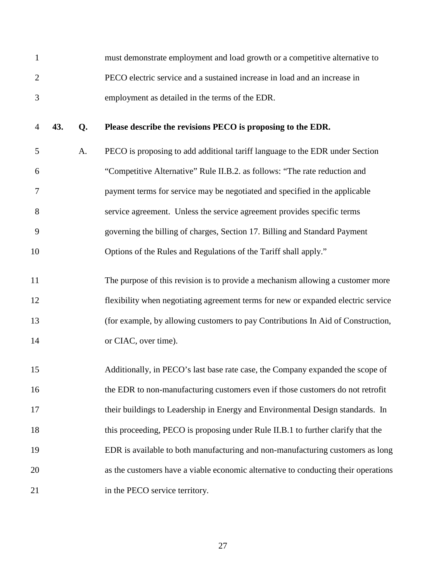|               | must demonstrate employment and load growth or a competitive alternative to |
|---------------|-----------------------------------------------------------------------------|
|               | PECO electric service and a sustained increase in load and an increase in   |
| $\mathcal{R}$ | employment as detailed in the terms of the EDR.                             |

#### 4 **43. Q. Please describe the revisions PECO is proposing to the EDR.**

5 A. PECO is proposing to add additional tariff language to the EDR under Section 6 "Competitive Alternative" Rule II.B.2. as follows: "The rate reduction and 7 payment terms for service may be negotiated and specified in the applicable 8 service agreement. Unless the service agreement provides specific terms 9 governing the billing of charges, Section 17. Billing and Standard Payment 10 Options of the Rules and Regulations of the Tariff shall apply."

11 The purpose of this revision is to provide a mechanism allowing a customer more 12 flexibility when negotiating agreement terms for new or expanded electric service 13 (for example, by allowing customers to pay Contributions In Aid of Construction, 14 or CIAC, over time).

15 Additionally, in PECO's last base rate case, the Company expanded the scope of 16 the EDR to non-manufacturing customers even if those customers do not retrofit 17 their buildings to Leadership in Energy and Environmental Design standards. In 18 this proceeding, PECO is proposing under Rule II.B.1 to further clarify that the 19 EDR is available to both manufacturing and non-manufacturing customers as long 20 as the customers have a viable economic alternative to conducting their operations 21 in the PECO service territory.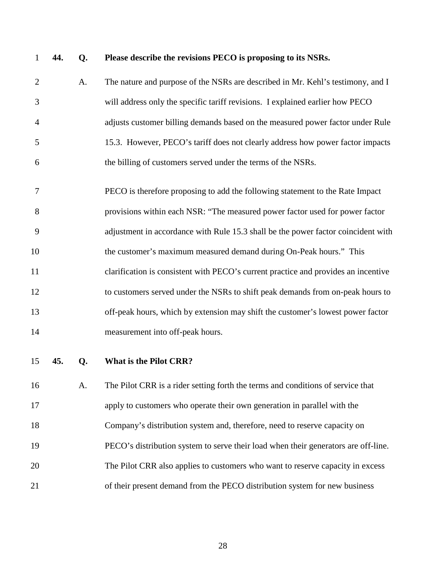#### 1 **44. Q. Please describe the revisions PECO is proposing to its NSRs.**

- 2 A. The nature and purpose of the NSRs are described in Mr. Kehl's testimony, and I 3 will address only the specific tariff revisions. I explained earlier how PECO 4 adjusts customer billing demands based on the measured power factor under Rule 5 15.3. However, PECO's tariff does not clearly address how power factor impacts 6 the billing of customers served under the terms of the NSRs.
- 7 PECO is therefore proposing to add the following statement to the Rate Impact 8 provisions within each NSR: "The measured power factor used for power factor 9 adjustment in accordance with Rule 15.3 shall be the power factor coincident with 10 the customer's maximum measured demand during On-Peak hours." This 11 clarification is consistent with PECO's current practice and provides an incentive 12 to customers served under the NSRs to shift peak demands from on-peak hours to 13 off-peak hours, which by extension may shift the customer's lowest power factor 14 measurement into off-peak hours.
- 

15 **45. Q. What is the Pilot CRR?** 

16 A. The Pilot CRR is a rider setting forth the terms and conditions of service that 17 apply to customers who operate their own generation in parallel with the 18 Company's distribution system and, therefore, need to reserve capacity on 19 PECO's distribution system to serve their load when their generators are off-line. 20 The Pilot CRR also applies to customers who want to reserve capacity in excess 21 of their present demand from the PECO distribution system for new business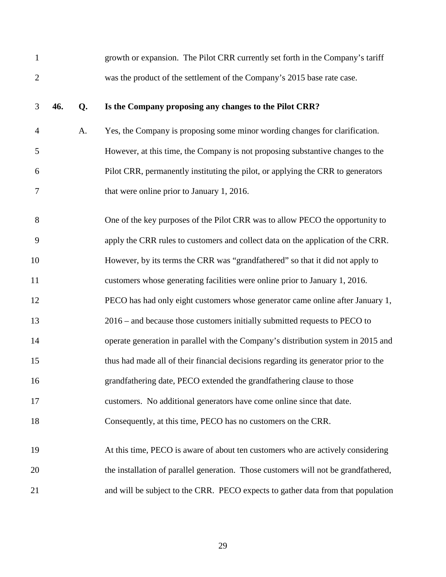| $\mathbf{1}$   |     |    | growth or expansion. The Pilot CRR currently set forth in the Company's tariff      |
|----------------|-----|----|-------------------------------------------------------------------------------------|
| $\overline{2}$ |     |    | was the product of the settlement of the Company's 2015 base rate case.             |
| 3              | 46. | Q. | Is the Company proposing any changes to the Pilot CRR?                              |
| $\overline{4}$ |     | A. | Yes, the Company is proposing some minor wording changes for clarification.         |
| 5              |     |    | However, at this time, the Company is not proposing substantive changes to the      |
| 6              |     |    | Pilot CRR, permanently instituting the pilot, or applying the CRR to generators     |
| 7              |     |    | that were online prior to January 1, 2016.                                          |
| 8              |     |    | One of the key purposes of the Pilot CRR was to allow PECO the opportunity to       |
| 9              |     |    | apply the CRR rules to customers and collect data on the application of the CRR.    |
| 10             |     |    | However, by its terms the CRR was "grandfathered" so that it did not apply to       |
| 11             |     |    | customers whose generating facilities were online prior to January 1, 2016.         |
| 12             |     |    | PECO has had only eight customers whose generator came online after January 1,      |
| 13             |     |    | $2016$ – and because those customers initially submitted requests to PECO to        |
| 14             |     |    | operate generation in parallel with the Company's distribution system in 2015 and   |
| 15             |     |    | thus had made all of their financial decisions regarding its generator prior to the |
| 16             |     |    | grandfathering date, PECO extended the grandfathering clause to those               |
| 17             |     |    | customers. No additional generators have come online since that date.               |
| 18             |     |    | Consequently, at this time, PECO has no customers on the CRR.                       |
| 19             |     |    | At this time, PECO is aware of about ten customers who are actively considering     |
| 20             |     |    | the installation of parallel generation. Those customers will not be grandfathered, |
| 21             |     |    | and will be subject to the CRR. PECO expects to gather data from that population    |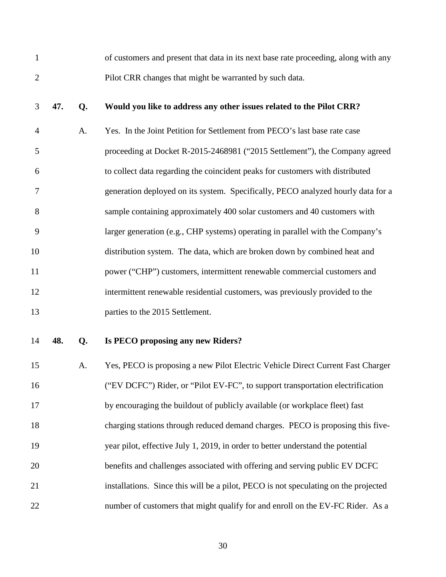1 of customers and present that data in its next base rate proceeding, along with any 2 Pilot CRR changes that might be warranted by such data.

#### 3 **47. Q. Would you like to address any other issues related to the Pilot CRR?**

4 A. Yes. In the Joint Petition for Settlement from PECO's last base rate case 5 proceeding at Docket R-2015-2468981 ("2015 Settlement"), the Company agreed 6 to collect data regarding the coincident peaks for customers with distributed 7 generation deployed on its system. Specifically, PECO analyzed hourly data for a 8 sample containing approximately 400 solar customers and 40 customers with 9 larger generation (e.g., CHP systems) operating in parallel with the Company's 10 distribution system. The data, which are broken down by combined heat and 11 power ("CHP") customers, intermittent renewable commercial customers and 12 intermittent renewable residential customers, was previously provided to the 13 **parties to the 2015 Settlement.** 

#### 14 **48. Q. Is PECO proposing any new Riders?**

15 A. Yes, PECO is proposing a new Pilot Electric Vehicle Direct Current Fast Charger 16 ("EV DCFC") Rider, or "Pilot EV-FC", to support transportation electrification 17 by encouraging the buildout of publicly available (or workplace fleet) fast 18 charging stations through reduced demand charges. PECO is proposing this five-19 year pilot, effective July 1, 2019, in order to better understand the potential 20 benefits and challenges associated with offering and serving public EV DCFC 21 installations. Since this will be a pilot, PECO is not speculating on the projected 22 number of customers that might qualify for and enroll on the EV-FC Rider. As a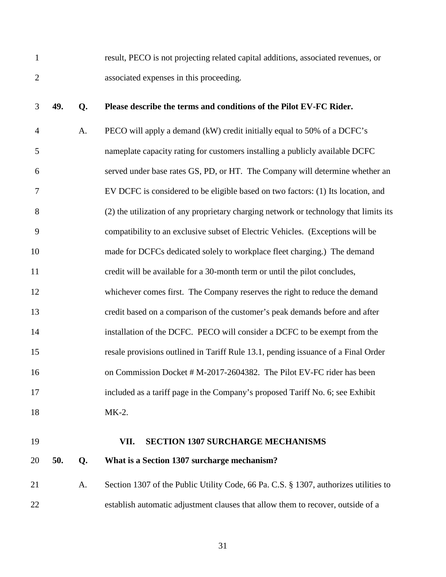1 result, PECO is not projecting related capital additions, associated revenues, or 2 associated expenses in this proceeding.

#### 3 **49. Q. Please describe the terms and conditions of the Pilot EV-FC Rider.**

4 A. PECO will apply a demand (kW) credit initially equal to 50% of a DCFC's 5 nameplate capacity rating for customers installing a publicly available DCFC 6 served under base rates GS, PD, or HT. The Company will determine whether an 7 EV DCFC is considered to be eligible based on two factors: (1) Its location, and 8 (2) the utilization of any proprietary charging network or technology that limits its 9 compatibility to an exclusive subset of Electric Vehicles. (Exceptions will be 10 made for DCFCs dedicated solely to workplace fleet charging.) The demand 11 credit will be available for a 30-month term or until the pilot concludes, 12 whichever comes first. The Company reserves the right to reduce the demand 13 credit based on a comparison of the customer's peak demands before and after 14 installation of the DCFC. PECO will consider a DCFC to be exempt from the 15 resale provisions outlined in Tariff Rule 13.1, pending issuance of a Final Order 16 on Commission Docket # M-2017-2604382. The Pilot EV-FC rider has been 17 included as a tariff page in the Company's proposed Tariff No. 6; see Exhibit 18 MK-2.

#### 19 **VII. SECTION 1307 SURCHARGE MECHANISMS**

20 **50. Q. What is a Section 1307 surcharge mechanism?** 

21 A. Section 1307 of the Public Utility Code, 66 Pa. C.S. § 1307, authorizes utilities to 22 establish automatic adjustment clauses that allow them to recover, outside of a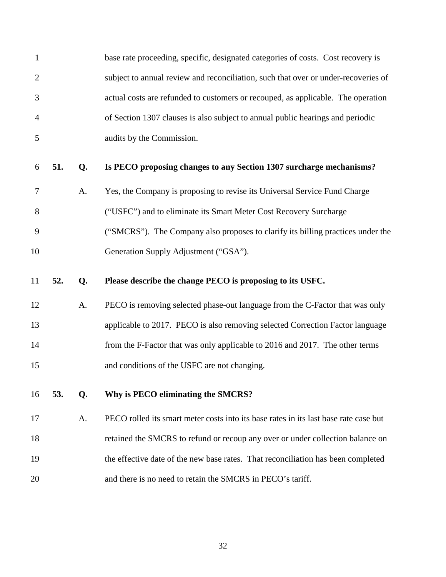| $\mathbf 1$    |     |    | base rate proceeding, specific, designated categories of costs. Cost recovery is     |
|----------------|-----|----|--------------------------------------------------------------------------------------|
| $\overline{2}$ |     |    | subject to annual review and reconciliation, such that over or under-recoveries of   |
| 3              |     |    | actual costs are refunded to customers or recouped, as applicable. The operation     |
| $\overline{4}$ |     |    | of Section 1307 clauses is also subject to annual public hearings and periodic       |
| 5              |     |    | audits by the Commission.                                                            |
| 6              | 51. | Q. | Is PECO proposing changes to any Section 1307 surcharge mechanisms?                  |
| $\overline{7}$ |     | A. | Yes, the Company is proposing to revise its Universal Service Fund Charge            |
| 8              |     |    | ("USFC") and to eliminate its Smart Meter Cost Recovery Surcharge                    |
| 9              |     |    | ("SMCRS"). The Company also proposes to clarify its billing practices under the      |
| 10             |     |    | Generation Supply Adjustment ("GSA").                                                |
|                |     |    |                                                                                      |
| 11             | 52. | Q. | Please describe the change PECO is proposing to its USFC.                            |
| 12             |     | A. | PECO is removing selected phase-out language from the C-Factor that was only         |
| 13             |     |    | applicable to 2017. PECO is also removing selected Correction Factor language        |
| 14             |     |    | from the F-Factor that was only applicable to 2016 and 2017. The other terms         |
| 15             |     |    | and conditions of the USFC are not changing.                                         |
| 16             | 53. | Q. | Why is PECO eliminating the SMCRS?                                                   |
| 17             |     | A. | PECO rolled its smart meter costs into its base rates in its last base rate case but |
| 18             |     |    | retained the SMCRS to refund or recoup any over or under collection balance on       |
| 19             |     |    | the effective date of the new base rates. That reconciliation has been completed     |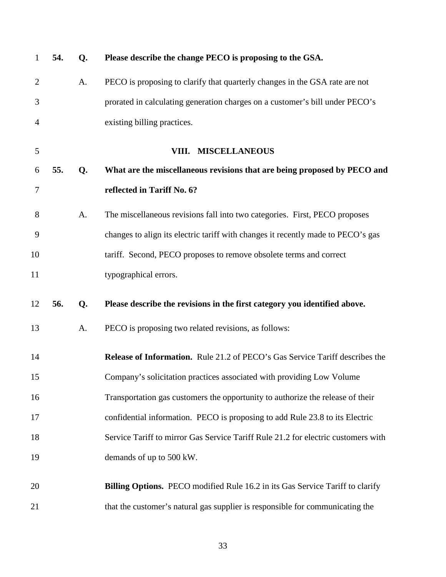| $\mathbf{1}$   | 54. | Q. | Please describe the change PECO is proposing to the GSA.                            |
|----------------|-----|----|-------------------------------------------------------------------------------------|
| $\overline{2}$ |     | A. | PECO is proposing to clarify that quarterly changes in the GSA rate are not         |
| 3              |     |    | prorated in calculating generation charges on a customer's bill under PECO's        |
| 4              |     |    | existing billing practices.                                                         |
| 5              |     |    | VIII. MISCELLANEOUS                                                                 |
| 6              | 55. | Q. | What are the miscellaneous revisions that are being proposed by PECO and            |
| 7              |     |    | reflected in Tariff No. 6?                                                          |
| 8              |     | A. | The miscellaneous revisions fall into two categories. First, PECO proposes          |
| 9              |     |    | changes to align its electric tariff with changes it recently made to PECO's gas    |
| 10             |     |    | tariff. Second, PECO proposes to remove obsolete terms and correct                  |
| 11             |     |    | typographical errors.                                                               |
| 12             | 56. | Q. | Please describe the revisions in the first category you identified above.           |
| 13             |     | A. | PECO is proposing two related revisions, as follows:                                |
| 14             |     |    | <b>Release of Information.</b> Rule 21.2 of PECO's Gas Service Tariff describes the |
| 15             |     |    | Company's solicitation practices associated with providing Low Volume               |
| 16             |     |    | Transportation gas customers the opportunity to authorize the release of their      |
| 17             |     |    | confidential information. PECO is proposing to add Rule 23.8 to its Electric        |
| 18             |     |    | Service Tariff to mirror Gas Service Tariff Rule 21.2 for electric customers with   |
| 19             |     |    | demands of up to 500 kW.                                                            |
| 20             |     |    | Billing Options. PECO modified Rule 16.2 in its Gas Service Tariff to clarify       |
| 21             |     |    | that the customer's natural gas supplier is responsible for communicating the       |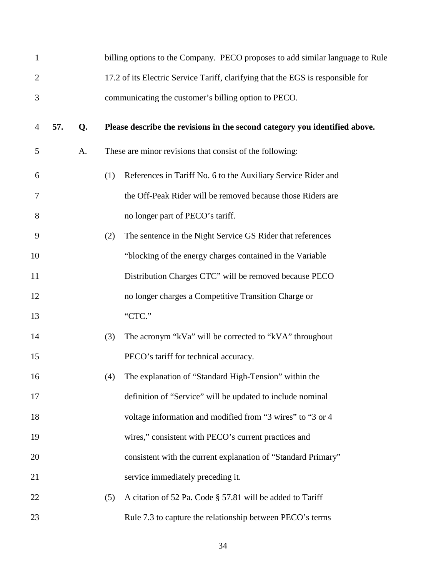| $\mathbf{1}$   |     |    |     | billing options to the Company. PECO proposes to add similar language to Rule   |
|----------------|-----|----|-----|---------------------------------------------------------------------------------|
| $\overline{2}$ |     |    |     | 17.2 of its Electric Service Tariff, clarifying that the EGS is responsible for |
| 3              |     |    |     | communicating the customer's billing option to PECO.                            |
| 4              | 57. | Q. |     | Please describe the revisions in the second category you identified above.      |
| 5              |     | A. |     | These are minor revisions that consist of the following:                        |
| 6              |     |    | (1) | References in Tariff No. 6 to the Auxiliary Service Rider and                   |
| 7              |     |    |     | the Off-Peak Rider will be removed because those Riders are                     |
| 8              |     |    |     | no longer part of PECO's tariff.                                                |
| 9              |     |    | (2) | The sentence in the Night Service GS Rider that references                      |
| 10             |     |    |     | "blocking of the energy charges contained in the Variable"                      |
| 11             |     |    |     | Distribution Charges CTC" will be removed because PECO                          |
| 12             |     |    |     | no longer charges a Competitive Transition Charge or                            |
| 13             |     |    |     | "CTC."                                                                          |
| 14             |     |    | (3) | The acronym "kVa" will be corrected to "kVA" throughout                         |
| 15             |     |    |     | PECO's tariff for technical accuracy.                                           |
| 16             |     |    | (4) | The explanation of "Standard High-Tension" within the                           |
| 17             |     |    |     | definition of "Service" will be updated to include nominal                      |
| 18             |     |    |     | voltage information and modified from "3 wires" to "3 or 4                      |
| 19             |     |    |     | wires," consistent with PECO's current practices and                            |
| 20             |     |    |     | consistent with the current explanation of "Standard Primary"                   |
| 21             |     |    |     | service immediately preceding it.                                               |
| 22             |     |    | (5) | A citation of 52 Pa. Code § 57.81 will be added to Tariff                       |
| 23             |     |    |     | Rule 7.3 to capture the relationship between PECO's terms                       |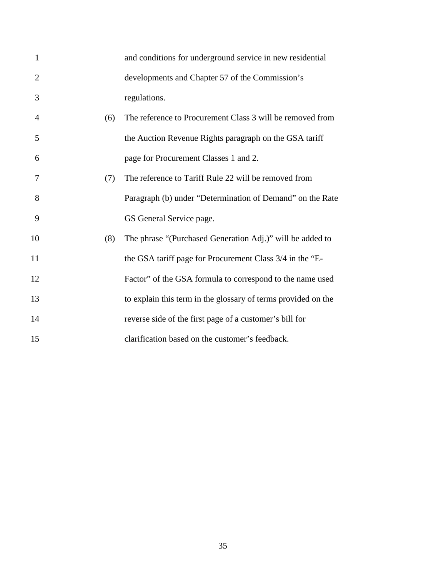| $\mathbf{1}$   |     | and conditions for underground service in new residential     |
|----------------|-----|---------------------------------------------------------------|
| $\overline{2}$ |     | developments and Chapter 57 of the Commission's               |
| 3              |     | regulations.                                                  |
| 4              | (6) | The reference to Procurement Class 3 will be removed from     |
| 5              |     | the Auction Revenue Rights paragraph on the GSA tariff        |
| 6              |     | page for Procurement Classes 1 and 2.                         |
| 7              | (7) | The reference to Tariff Rule 22 will be removed from          |
| 8              |     | Paragraph (b) under "Determination of Demand" on the Rate     |
| 9              |     | GS General Service page.                                      |
| 10             | (8) | The phrase "(Purchased Generation Adj.)" will be added to     |
| 11             |     | the GSA tariff page for Procurement Class 3/4 in the "E-      |
| 12             |     | Factor" of the GSA formula to correspond to the name used     |
| 13             |     | to explain this term in the glossary of terms provided on the |
| 14             |     | reverse side of the first page of a customer's bill for       |
| 15             |     | clarification based on the customer's feedback.               |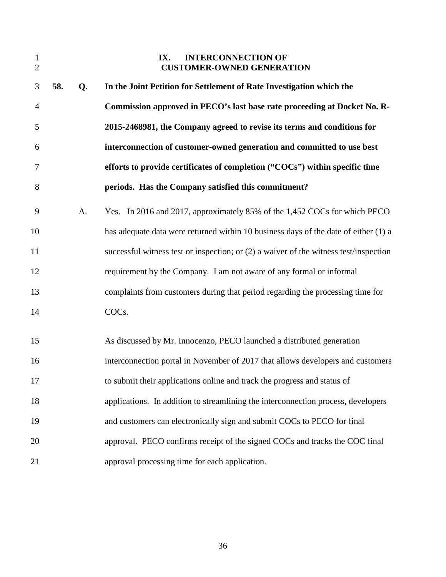| $\mathbf{1}$<br>$\overline{2}$ |     |    | <b>INTERCONNECTION OF</b><br>IX.<br><b>CUSTOMER-OWNED GENERATION</b>                    |
|--------------------------------|-----|----|-----------------------------------------------------------------------------------------|
| 3                              | 58. | Q. | In the Joint Petition for Settlement of Rate Investigation which the                    |
| $\overline{4}$                 |     |    | Commission approved in PECO's last base rate proceeding at Docket No. R-                |
| 5                              |     |    | 2015-2468981, the Company agreed to revise its terms and conditions for                 |
| 6                              |     |    | interconnection of customer-owned generation and committed to use best                  |
| 7                              |     |    | efforts to provide certificates of completion ("COCs") within specific time             |
| 8                              |     |    | periods. Has the Company satisfied this commitment?                                     |
| 9                              |     | A. | Yes. In 2016 and 2017, approximately 85% of the 1,452 COCs for which PECO               |
| 10                             |     |    | has adequate data were returned within 10 business days of the date of either (1) a     |
| 11                             |     |    | successful witness test or inspection; or $(2)$ a waiver of the witness test/inspection |
| 12                             |     |    | requirement by the Company. I am not aware of any formal or informal                    |
| 13                             |     |    | complaints from customers during that period regarding the processing time for          |
| 14                             |     |    | COCs.                                                                                   |
| 15                             |     |    | As discussed by Mr. Innocenzo, PECO launched a distributed generation                   |
| 16                             |     |    | interconnection portal in November of 2017 that allows developers and customers         |
| 17                             |     |    | to submit their applications online and track the progress and status of                |
| 18                             |     |    | applications. In addition to streamlining the interconnection process, developers       |
| 19                             |     |    | and customers can electronically sign and submit COCs to PECO for final                 |
| 20                             |     |    | approval. PECO confirms receipt of the signed COCs and tracks the COC final             |
| 21                             |     |    | approval processing time for each application.                                          |